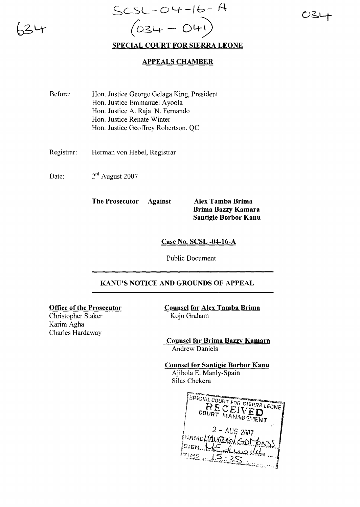# SC-,SL - **0'-+ -I** b- <sup>A</sup> *(03.4* - 04-) **SPECIAL COURT FOR SIERRA LEONE**

## **APPEALS CHAMBER**

- Before: Hon. Justice George Gelaga King, President Hon. Justice Emmanuel Ayoola Hon. Justice A. Raja N. Fernando Hon. Justice Renate Winter Hon. Justice Geoffrey Robertson. QC
- Registrar: Herman von Hebel, Registrar
- Date: 2rd August 2007

**The Prosecutor Against Alex Tamba Brima**

**Brima Bazzy Kamara Santigie Borbor Kanu**

**Case No. SCSL -04-16-A**

Public Document

#### **KANU'S NOTICE AND GROUNDS OF APPEAL**

#### **Office of the Prosecutor**

Christopher Staker Karim Agha Charles Hardaway

**Counsel for Alex Tamba Brima** Kojo Graham

**Counsel for Brima Bazzy Kamara** Andrew Daniels

**Counsel for Santigie Borbor Kanu** Ajibola E. Manly-Spain Silas Chekera

SPECIAL COURT FOR SIERRA LEONE ECEIVED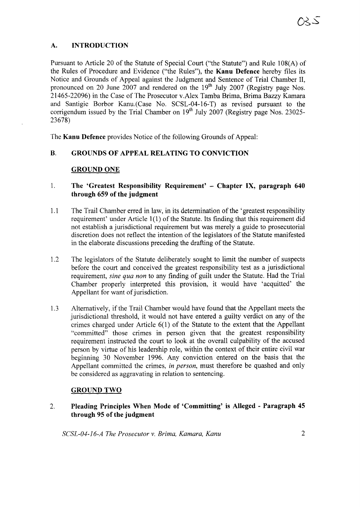## **A. INTRODUCTION**

Pursuant to Article 20 of the Statute of Special Court ("the Statute") and Rule 108(A) of the Rules of Procedure and Evidence ("the Rules"), the **Kanu Defence** hereby files its Notice and Grounds of Appeal against the Judgment and Sentence of Trial Chamber II, pronounced on 20 June 2007 and rendered on the  $19<sup>th</sup>$  July 2007 (Registry page Nos. 21465-22096) in the Case of The Prosecutor v.Alex Tamba Brima, Brima Bazzy Kamara and Santigie Borbor Kanu.(Case No. SCSL-04-16-T) as revised pursuant to the corrigendum issued by the Trial Chamber on 19<sup>th</sup> July 2007 (Registry page Nos. 23025-23678)

The **Kanu Defence** provides Notice of the following Grounds of Appeal:

## **B. GROUNDS OF APPEAL RELATING TO CONVICTION**

#### GROUND ONE

## 1. **The 'Greatest Responsibility Requirement' - Chapter IX, paragraph 640 through 659 of the judgment**

- 1.1 The Trail Chamber erred in law, in its determination of the 'greatest responsibility requirement' under Article  $1(1)$  of the Statute. Its finding that this requirement did not establish a jurisdictional requirement but was merely a guide to prosecutorial discretion does not reflect the intention of the legislators of the Statute manifested in the elaborate discussions preceding the drafting of the Statute.
- 1.2 The legislators of the Statute deliberately sought to limit the number of suspects before the court and conceived the greatest responsibility test as a jurisdictional requirement, *sine qua non* to any finding of guilt under the Statute. Had the Trial Chamber properly interpreted this provision, it would have 'acquitted' the Appellant for want of jurisdiction.
- 1.3 Alternatively, if the Trail Chamber would have found that the Appellant meets the jurisdictional threshold, it would not have entered a guilty verdict on any of the crimes charged under Article 6(1) of the Statute to the extent that the Appellant "committed" those crimes in person given that the greatest responsibility requirement instructed the court to look at the overall culpability of the accused person by virtue of his leadership role, within the context of their entire civil war beginning 30 November 1996. Any conviction entered on the basis that the Appellant committed the crimes, *in person,* must therefore be quashed and only be considered as aggravating in relation to sentencing.

#### GROUND TWO

2. **Pleading Principles When Mode of 'Committing' is Alleged - Paragraph 45 through 95 of the judgment** 

*SCSL-04-16-A The Prosecutor* v. *Brima, Kamara, Kanu* 2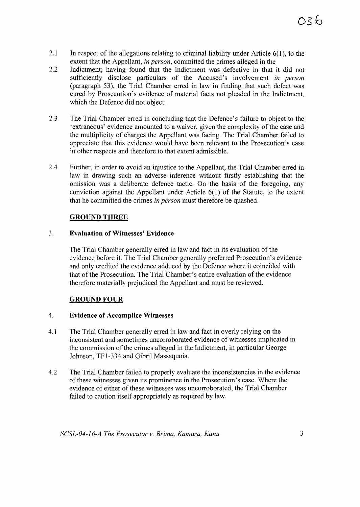- 2.1 In respect of the allegations relating to criminal liability under Article  $6(1)$ , to the extent that the Appellant, *in person,* committed the crimes alleged in the
- 2.2 Indictment; having found that the Indictment was defective in that it did not sufficiently disclose particulars of the Accused's involvement *in person* (paragraph 53), the Trial Chamber erred in law in finding that such defect was cured by Prosecution's evidence of material facts not pleaded in the Indictment, which the Defence did not object.
- 2.3 The Trial Chamber erred in concluding that the Defence's failure to object to the 'extraneous' evidence amounted to a waiver, given the complexity of the case and the multiplicity of charges the Appellant was facing. The Trial Chamber failed to appreciate that this evidence would have been relevant to the Prosecution's case in other respects and therefore to that extent admissible.
- 2.4 Further, in order to avoid an injustice to the Appellant, the Trial Chamber erred in law in drawing such an adverse inference without firstly establishing that the omission was a deliberate defence tactic. On the basis of the foregoing, any conviction against the Appellant under Article 6(1) of the Statute, to the extent that he committed the crimes *in person* must therefore be quashed.

## **GROUND THREE**

## 3. **Evaluation** of Witnesses' **Evidence**

The Trial Chamber generally erred in law and fact in its evaluation of the evidence before it. The Trial Chamber generally preferred Prosecution's evidence and only credited the evidence adduced by the Defence where it coincided with that of the Prosecution. The Trial Chamber's entire evaluation of the evidence therefore materially prejudiced the Appellant and must be reviewed.

## GROUND FOUR

#### 4. **Evidence of Accomplice Witnesses**

- 4.1 The Trial Chamber generally erred in law and fact in overly relying on the inconsistent and sometimes uncorroborated evidence of witnesses implicated in the commission of the crimes alleged in the Indictment, in particular George Johnson, TFl-334 and Gibril Massaquoia.
- 4.2 The Trial Chamber failed to properly evaluate the inconsistencies in the evidence of these witnesses given its prominence in the Prosecution's case. Where the evidence of either of these witnesses was uncorroborated, the Trial Chamber failed to caution itself appropriately as required by law.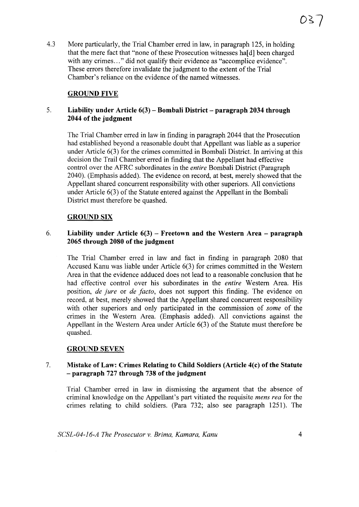4.3 More particularly, the Trial Chamber erred in law, in paragraph 125, in holding that the mere fact that "none of these Prosecution witnesses hald been charged with any crimes..." did not qualify their evidence as "accomplice evidence". These errors therefore invalidate the judgment to the extent of the Trial Chamber's reliance on the evidence of the named witnesses.

## GROUND FIVE

## 5. **Liability under Article 6(3) - Bombali District - paragraph 2034 through 2044 of the judgment**

The Trial Chamber erred in law in finding in paragraph 2044 that the Prosecution had established beyond a reasonable doubt that Appellant was liable as a superior under Article 6(3) for the crimes committed in Bombali District. In arriving at this decision the Trail Chamber erred in finding that the Appellant had effective control over the AFRC subordinates in the *entire* Bombali District (Paragraph 2040). (Emphasis added). The evidence on record, at best, merely showed that the Appellant shared concurrent responsibility with other superiors. All convictions under Article  $6(3)$  of the Statute entered against the Appellant in the Bombali District must therefore be quashed.

## GROUND SIX

## 6. **Liability under Article 6(3) - Freetown and the Western Area - paragraph 2065 through 2080 of the judgment**

The Trial Chamber erred in law and fact in finding in paragraph 2080 that Accused Kanu was liable under Article 6(3) for crimes committed in the Western Area in that the evidence adduced does not lead to a reasonable conclusion that he had effective control over his subordinates in the *entire* Western Area. His position, *de jure* or *de facto,* does not support this finding. The evidence on record, at best, merely showed that the Appellant shared concurrent responsibility with other superiors and only participated in the commission of *some* of the crimes in the Western Area. (Emphasis added). All convictions against the Appellant in the Western Area under Article  $6(3)$  of the Statute must therefore be quashed.

## GROUND SEVEN

## 7. **Mistake** of Law: **Crimes Relating to Child Soldiers (Article 4(c)** of the **Statute** - **paragraph 727 through 738 of the judgment**

Trial Chamber erred in law in dismissing the argument that the absence of criminal knowledge on the Appellant's part vitiated the requisite *mens rea* for the crimes relating to child soldiers. (Para 732; also see paragraph 1251). The

*SCSL-04-16-A The Prosecutor* v. *Brima, Kamara, Kanu* 4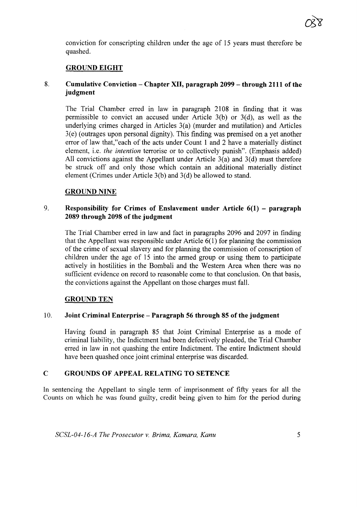conviction for conscripting children under the age of IS years must therefore be quashed.

## **GROUND EIGHT**

#### 8. **Cumulative Conviction - Chapter XII, paragraph 2099 - through 2111 of the judgment**

The Trial Chamber erred in law in paragraph 2108 in finding that it was permissible to convict an accused under Article 3(b) or 3(d), as well as the underlying crimes charged in Articles 3(a) (murder and mutilation) and Articles 3(e) (outrages upon personal dignity). This finding was premised on a yet another error of law that,"each of the acts under Count I and 2 have a materially distinct element, i.e. *the intention* terrorise or to collectively punish". (Emphasis added) All convictions against the Appellant under Article  $3(a)$  and  $3(d)$  must therefore be struck off and only those which contain an additional materially distinct element (Crimes under Article 3(b) and 3(d) be allowed to stand.

#### GROUND NINE

#### 9. **Responsibility for Crimes of Enslavement under Article 6(1) - paragraph 2089 through 2098 of the judgment**

The Trial Chamber erred in law and fact in paragraphs 2096 and 2097 in finding that the Appellant was responsible under Article 6(1) for planning the commission of the crime of sexual slavery and for planning the commission of conscription of children under the age of IS into the armed group or using them to participate actively in hostilities in the Bombali and the Western Area when there was no sufficient evidence on record to reasonable come to that conclusion. On that basis, the convictions against the Appellant on those charges must fall.

#### GROUND TEN

#### 10. **Joint Criminal Enterprise - Paragraph 56 through 85 of the judgment**

Having found in paragraph 85 that Joint Criminal Enterprise as a mode of criminal liability, the Indictment had been defectively pleaded, the Trial Chamber erred in law in not quashing the entire Indictment. The entire Indictment should have been quashed once joint criminal enterprise was discarded.

#### **C GROUNDS OF APPEAL RELATING TO SETENCE**

**In** sentencing the Appellant to single term of imprisonment of fifty years for all the Counts on which he was found guilty, credit being given to him for the period during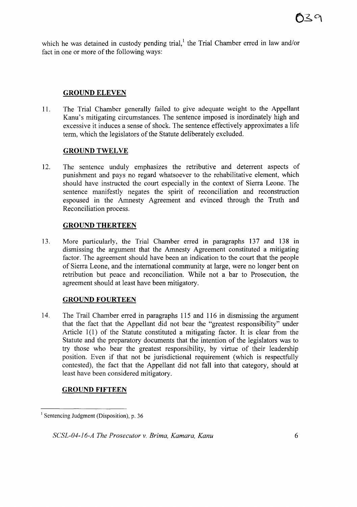which he was detained in custody pending trial, the Trial Chamber erred in law and/or fact in one or more of the following ways:

#### **GROUND ELEVEN**

11. The Trial Chamber generally failed to give adequate weight to the Appellant Kanu's mitigating circumstances. The sentence imposed is inordinately high and excessive it induces a sense of shock. The sentence effectively approximates a life term, which the legislators of the Statute deliberately excluded.

### **GROUND TWELVE**

12. The sentence unduly emphasizes the retributive and deterrent aspects of punishment and pays no regard whatsoever to the rehabilitative element, which should have instructed the court especially in the context of Sierra Leone. The sentence manifestly negates the spirit of reconciliation and reconstruction espoused in the Amnesty Agreement and evinced through the Truth and Reconciliation process.

### **GROUND THERTEEN**

13. More particularly, the Trial Chamber erred in paragraphs 137 and 138 in dismissing the argument that the Amnesty Agreement constituted a mitigating factor. The agreement should have been an indication to the court that the people of Sierra Leone, and the international community at large, were no longer bent on retribution but peace and reconciliation. While not a bar to Prosecution, the agreement should at least have been mitigatory.

#### **GROUND FOURTEEN**

14. The Trail Chamber erred in paragraphs 115 and 116 in dismissing the argument that the fact that the Appellant did not bear the "greatest responsibility" under Article 1(l) of the Statute constituted a mitigating factor. It is clear from the Statute and the preparatory documents that the intention of the legislators was to try those who bear the greatest responsibility, by virtue of their leadership position. Even if that not be jurisdictional requirement (which is respectfully contested), the fact that the Appellant did not fall into that category, should at least have been considered mitigatory.

#### **GROUND FIFTEEN**

 $<sup>1</sup>$  Sentencing Judgment (Disposition), p. 36</sup>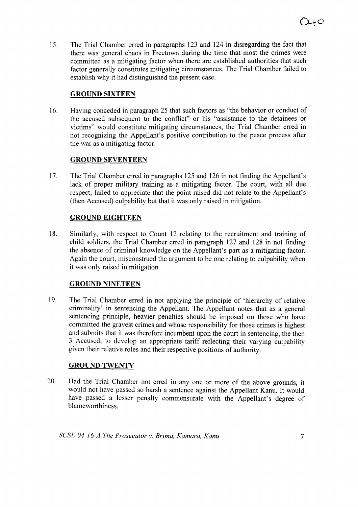15. The Trial Chamber erred in paragraphs 123 and 124 in disregarding the fact that there was general chaos in Freetown during the time that most the crimes were committed as a mitigating factor when there are established authorities that such factor generally constitutes mitigating circumstances. The Trial Chamber failed to establish why it had distinguished the present case.

## **GROUND SIXTEEN**

16. Having conceded in paragraph 25 that such factors as "the behavior or conduct of the accused subsequent to the conflict" or his "assistance to the detainees or victims" would constitute mitigating circumstances, the Trial Chamber erred in not recognizing the Appellant's positive contribution to the peace process after the war as a mitigating factor.

## GROUND SEVENTEEN

17. The Trial Chamber erred in paragraphs 125 and 126 in not finding the Appellant's lack of proper military training as a mitigating factor. The court, with all due respect, failed to appreciate that the point raised did not relate to the Appellant's (then Accused) culpability but that it was only raised in mitigation.

## **GROUND EIGHTEEN**

18. Similarly, with respect to Count 12 relating to the recruitment and training of child soldiers, the Trial Chamber erred in paragraph 127 and 128 in not finding the absence of criminal knowledge on the Appellant's part as a mitigating factor. Again the court, misconstrued the argument to be one relating to culpability when it was only raised in mitigation.

# **GROUND NINETEEN**

19. The Trial Chamber erred in not applying the principle of 'hierarchy of relative criminality' in sentencing the Appellant. The Appellant notes that as a general sentencing principle, heavier penalties should be imposed on those who have committed the gravest crimes and whose responsibility for those crimes is highest and submits that it was therefore incumbent upon the court in sentencing, the then 3 Accused, to develop an appropriate tariff reflecting their varying culpability given their relative roles and their respective positions of authority.

## **GROUND TWENTY**

20. Had the Trial Chamber not erred in anyone or more of the above grounds, it would not have passed so harsh a sentence against the Appellant Kanu. It would have passed a lesser penalty commensurate with the Appellant's degree of blameworthiness.